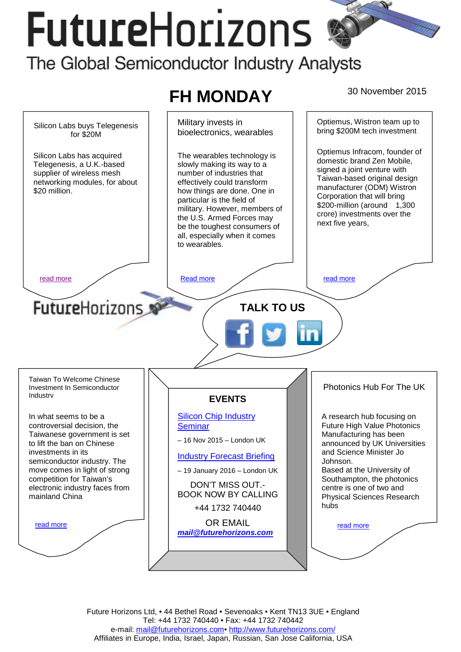# **FutureHorizons** The Global Semiconductor Industry Analysts

#### **FH MONDAY** 30 November 2015 Military invests in Optiemus, Wistron team up to Silicon Labs buys Telegenesis bring \$200M tech investment bioelectronics, wearables for \$20M Optiemus Infracom, founder of Silicon Labs has acquired The wearables technology is domestic brand Zen Mobile, slowly making its way to a Telegenesis, a U.K.-based signed a joint venture with supplier of wireless mesh number of industries that Taiwan-based original design networking modules, for about effectively could transform manufacturer (ODM) Wistron \$20 million. how things are done. One in Corporation that will bring particular is the field of \$200-million (around 1,300 military. However, members of crore) investments over the the U.S. Armed Forces may next five years, be the toughest consumers of all, especially when it comes to wearables. [read more](#page-1-0) and more and more and more in the Read more in the read more in the read more **FutureHorizons TALK TO US**  Taiwan To Welcome Chinese Photonics Hub For The UK Investment In Semiconductor Industry **EVENTS**  [Silicon Chip Industry](http://www.futurehorizons.com/page/12/silicon-chip-training)  In what seems to be a A research hub focusing on **Seminar** Future High Value Photonics controversial decision, the Manufacturing has been Taiwanese government is set – 16 Nov 2015 – London UK announced by UK Universities to lift the ban on Chinese and Science Minister Jo investments in its [Industry Forecast Briefing](http://www.futurehorizons.com/page/13/Semiconductor-Market-Forecast-Seminar) semiconductor industry. The Johnson. move comes in light of strong Based at the University of – 19 January 2016 – London UK competition for Taiwan's Southampton, the photonics DON'T MISS OUT. electronic industry faces from centre is one of two and BOOK NOW BY CALLING mainland China Physical Sciences Research hubs +44 1732 740440 OR EMAIL read more read more *[mail@futurehorizons.com](mailto:mail@futurehorizons.com)*

Future Horizons Ltd, • 44 Bethel Road • Sevenoaks • Kent TN13 3UE • England Tel: +44 1732 740440 • Fax: +44 1732 740442 e-mail: mail@futurehorizons.com• http://www.futurehorizons.com/ Affiliates in Europe, India, Israel, Japan, Russian, San Jose California, USA